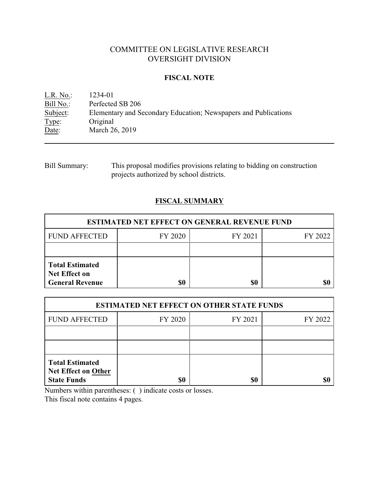# COMMITTEE ON LEGISLATIVE RESEARCH OVERSIGHT DIVISION

## **FISCAL NOTE**

<u>L.R. No.</u>: 1234-01<br>Bill No.: Perfected Bill No.: Perfected SB 206<br>Subject: Elementary and Se Elementary and Secondary Education; Newspapers and Publications Type: Original<br>Date: March 20 March 26, 2019

| Bill Summary: | This proposal modifies provisions relating to bidding on construction |
|---------------|-----------------------------------------------------------------------|
|               | projects authorized by school districts.                              |

# **FISCAL SUMMARY**

| <b>ESTIMATED NET EFFECT ON GENERAL REVENUE FUND</b>                      |         |         |         |  |  |
|--------------------------------------------------------------------------|---------|---------|---------|--|--|
| <b>FUND AFFECTED</b>                                                     | FY 2020 | FY 2021 | FY 2022 |  |  |
|                                                                          |         |         |         |  |  |
| <b>Total Estimated</b><br><b>Net Effect on</b><br><b>General Revenue</b> | \$0     | \$0     |         |  |  |

| <b>ESTIMATED NET EFFECT ON OTHER STATE FUNDS</b>                           |         |         |         |  |  |
|----------------------------------------------------------------------------|---------|---------|---------|--|--|
| <b>FUND AFFECTED</b>                                                       | FY 2020 | FY 2021 | FY 2022 |  |  |
|                                                                            |         |         |         |  |  |
|                                                                            |         |         |         |  |  |
| <b>Total Estimated</b><br><b>Net Effect on Other</b><br><b>State Funds</b> | \$0     | \$0     |         |  |  |

Numbers within parentheses: ( ) indicate costs or losses.

This fiscal note contains 4 pages.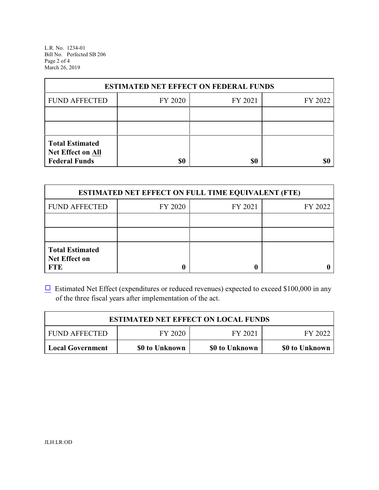L.R. No. 1234-01 Bill No. Perfected SB 206 Page 2 of 4 March 26, 2019

| <b>ESTIMATED NET EFFECT ON FEDERAL FUNDS</b>                        |         |         |         |  |  |
|---------------------------------------------------------------------|---------|---------|---------|--|--|
| <b>FUND AFFECTED</b>                                                | FY 2020 | FY 2021 | FY 2022 |  |  |
|                                                                     |         |         |         |  |  |
|                                                                     |         |         |         |  |  |
| <b>Total Estimated</b><br>Net Effect on All<br><b>Federal Funds</b> | \$0     | \$0     |         |  |  |

| <b>ESTIMATED NET EFFECT ON FULL TIME EQUIVALENT (FTE)</b>    |         |         |         |  |  |
|--------------------------------------------------------------|---------|---------|---------|--|--|
| <b>FUND AFFECTED</b>                                         | FY 2020 | FY 2021 | FY 2022 |  |  |
|                                                              |         |         |         |  |  |
|                                                              |         |         |         |  |  |
| <b>Total Estimated</b><br><b>Net Effect on</b><br><b>FTE</b> |         |         |         |  |  |

 $\Box$  Estimated Net Effect (expenditures or reduced revenues) expected to exceed \$100,000 in any of the three fiscal years after implementation of the act.

| <b>ESTIMATED NET EFFECT ON LOCAL FUNDS</b> |                |                |                |  |
|--------------------------------------------|----------------|----------------|----------------|--|
| <b>FUND AFFECTED</b>                       | FY 2022        |                |                |  |
| Local Government                           | \$0 to Unknown | \$0 to Unknown | \$0 to Unknown |  |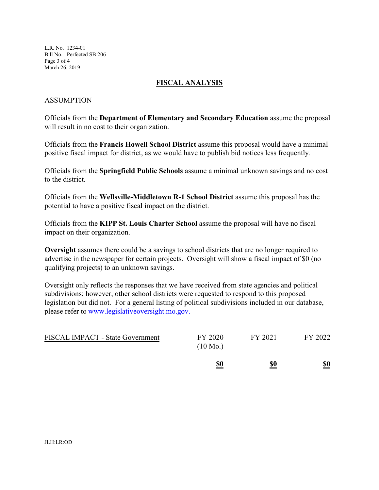L.R. No. 1234-01 Bill No. Perfected SB 206 Page 3 of 4 March 26, 2019

### **FISCAL ANALYSIS**

### ASSUMPTION

Officials from the **Department of Elementary and Secondary Education** assume the proposal will result in no cost to their organization.

Officials from the **Francis Howell School District** assume this proposal would have a minimal positive fiscal impact for district, as we would have to publish bid notices less frequently.

Officials from the **Springfield Public Schools** assume a minimal unknown savings and no cost to the district.

Officials from the **Wellsville-Middletown R-1 School District** assume this proposal has the potential to have a positive fiscal impact on the district.

Officials from the **KIPP St. Louis Charter School** assume the proposal will have no fiscal impact on their organization.

**Oversight** assumes there could be a savings to school districts that are no longer required to advertise in the newspaper for certain projects. Oversight will show a fiscal impact of \$0 (no qualifying projects) to an unknown savings.

Oversight only reflects the responses that we have received from state agencies and political subdivisions; however, other school districts were requested to respond to this proposed legislation but did not. For a general listing of political subdivisions included in our database, please refer to [www.legislativeoversight.mo.gov.](http://www.legislativeoversight.mo.gov.)

|                                  | \$0                           | \$0     | \$0     |
|----------------------------------|-------------------------------|---------|---------|
| FISCAL IMPACT - State Government | FY 2020<br>$(10 \text{ Mo.})$ | FY 2021 | FY 2022 |